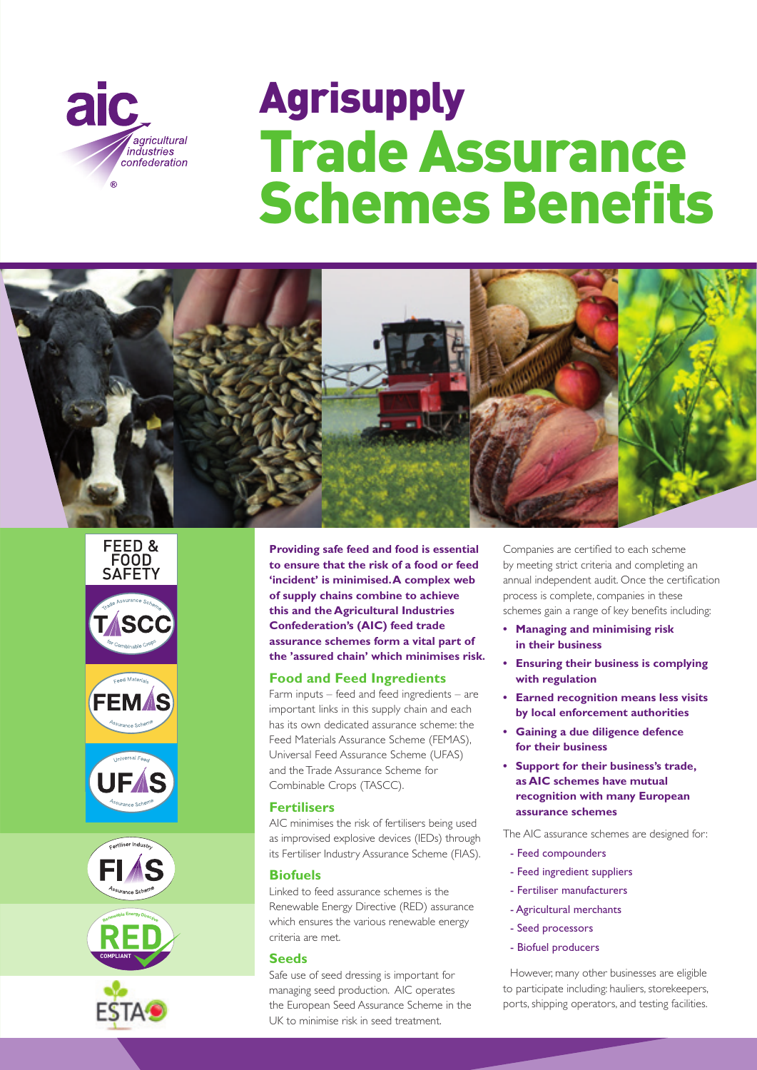

# Agrisupply Trade Assurance **Schemes Benefits**















**Providing safe feed and food is essential to ensure that the risk of a food or feed 'incident' is minimised. A complex web of supply chains combine to achieve this and the Agricultural Industries Confederation's (AIC) feed trade assurance schemes form a vital part of the 'assured chain' which minimises risk.** 

# **Food and Feed Ingredients**

Farm inputs – feed and feed ingredients – are important links in this supply chain and each has its own dedicated assurance scheme: the Feed Materials Assurance Scheme (FEMAS), Universal Feed Assurance Scheme (UFAS) and the Trade Assurance Scheme for Combinable Crops (TASCC).

# **Fertilisers**

AIC minimises the risk of fertilisers being used as improvised explosive devices (IEDs) through its Fertiliser Industry Assurance Scheme (FIAS).

# **Biofuels**

Linked to feed assurance schemes is the Renewable Energy Directive (RED) assurance which ensures the various renewable energy criteria are met.

# **Seeds**

Safe use of seed dressing is important for managing seed production. AIC operates the European Seed Assurance Scheme in the UK to minimise risk in seed treatment.

Companies are certified to each scheme by meeting strict criteria and completing an annual independent audit. Once the certification process is complete, companies in these schemes gain a range of key benefits including:

- **Managing and minimising risk in their business**
- **Ensuring their business is complying with regulation**
- **Earned recognition means less visits by local enforcement authorities**
- **Gaining a due diligence defence for their business**
- **Support for their business's trade, as AIC schemes have mutual recognition with many European assurance schemes**

The AIC assurance schemes are designed for:

- Feed compounders
- Feed ingredient suppliers
- Fertiliser manufacturers
- Agricultural merchants
- Seed processors
- Biofuel producers

However, many other businesses are eligible to participate including: hauliers, storekeepers, ports, shipping operators, and testing facilities.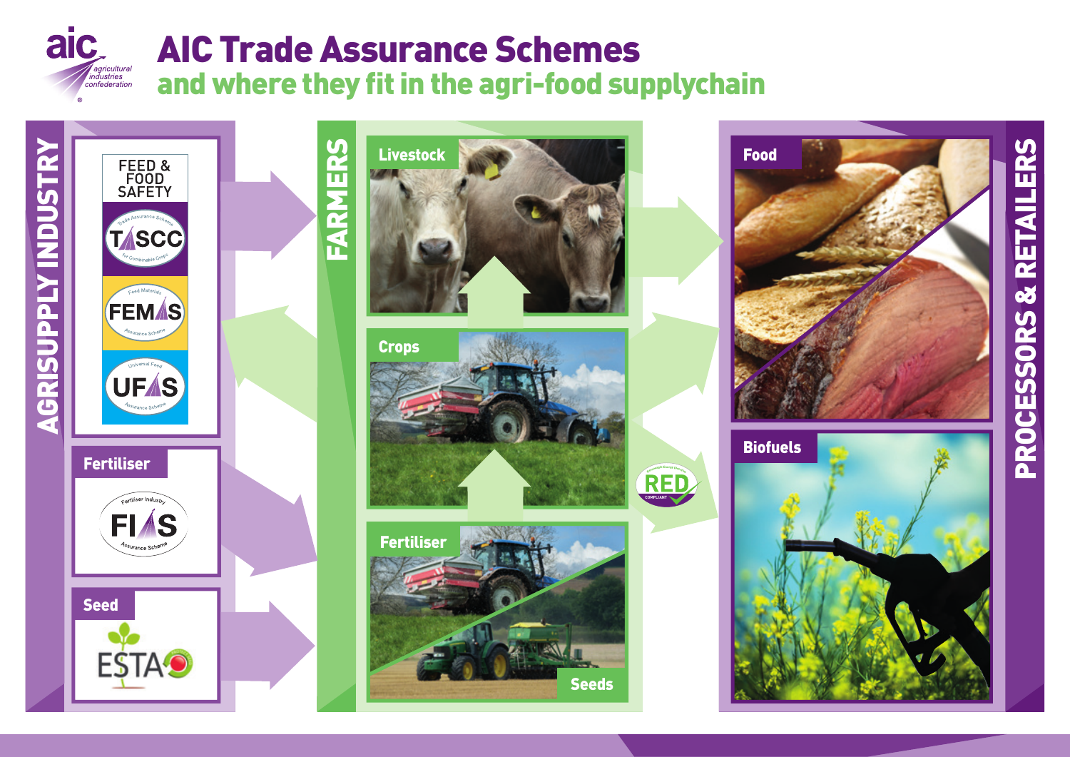





# **PROCESSORS & RETAILERS** PROCESSORS & RETAILERS

# AIC Trade Assurance Schemes and where they fit in the agri-food supplychain









**COMPLIANT**

**<sup>R</sup>enewableEnergyDirective**